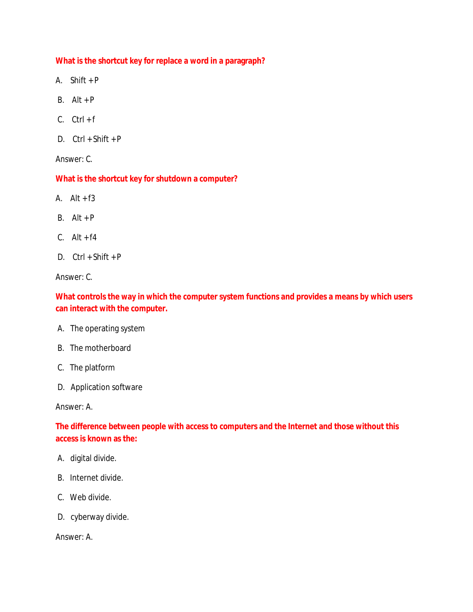**What is the shortcut key for replace a word in a paragraph?**

- A. Shift + P
- B.  $Alt + P$
- $C.$   $Ctrl + f$
- D. Ctrl + Shift + P

Answer: C.

**What is the shortcut key for shutdown a computer?**

- A.  $Alt + f3$
- $B.$  Alt + P
- $C.$  Alt +  $f4$
- D.  $Ctrl + Shift + P$

Answer: C.

**What controls the way in which the computer system functions and provides a means by which users can interact with the computer.** 

- A. The operating system
- B. The motherboard
- C. The platform
- D. Application software

Answer: A.

**The difference between people with access to computers and the Internet and those without this access is known as the:** 

- A. digital divide.
- B. Internet divide.
- C. Web divide.
- D. cyberway divide.

Answer: A.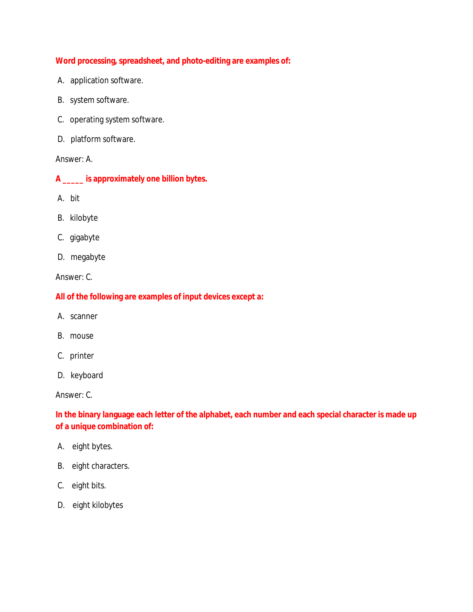**Word processing, spreadsheet, and photo-editing are examples of:** 

- A. application software.
- B. system software.
- C. operating system software.
- D. platform software.

Answer: A.

- **A \_\_\_\_\_ is approximately one billion bytes.**
- A. bit
- B. kilobyte
- C. gigabyte
- D. megabyte

Answer: C.

**All of the following are examples of input devices except a:** 

- A. scanner
- B. mouse
- C. printer
- D. keyboard

Answer: C.

**In the binary language each letter of the alphabet, each number and each special character is made up of a unique combination of:** 

- A. eight bytes.
- B. eight characters.
- C. eight bits.
- D. eight kilobytes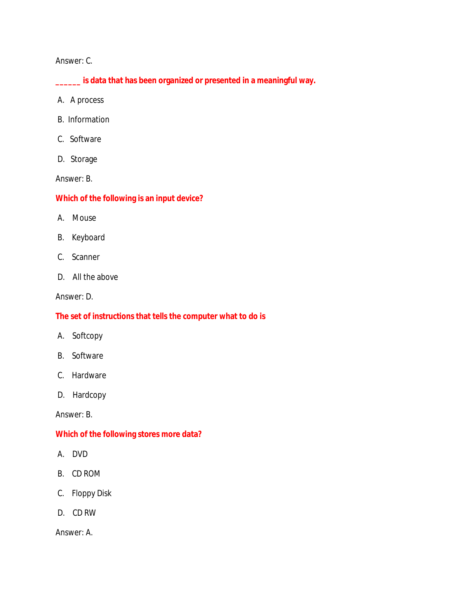## Answer: C.

**\_\_\_\_\_\_ is data that has been organized or presented in a meaningful way.** 

- A. A process
- B. Information
- C. Software
- D. Storage

Answer: B.

## **Which of the following is an input device?**

- A. Mouse
- B. Keyboard
- C. Scanner
- D. All the above

Answer: D.

# **The set of instructions that tells the computer what to do is**

- A. Softcopy
- B. Software
- C. Hardware
- D. Hardcopy

Answer: B.

## **Which of the following stores more data?**

- A. DVD
- B. CD ROM
- C. Floppy Disk
- D. CD RW

Answer: A.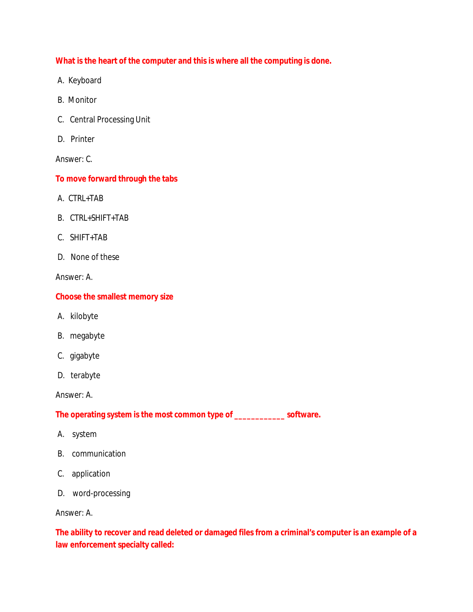**What is the heart of the computer and this is where all the computing is done.** 

- A. Keyboard
- B. Monitor
- C. Central Processing Unit
- D. Printer

Answer: C.

**To move forward through the tabs** 

- A. CTRL+TAB
- B. CTRL+SHIFT+TAB
- C. SHIFT+TAB
- D. None of these

Answer: A.

**Choose the smallest memory size** 

- A. kilobyte
- B. megabyte
- C. gigabyte
- D. terabyte

Answer: A.

**The operating system is the most common type of \_\_\_\_\_\_\_\_\_\_\_\_ software.** 

- A. system
- B. communication
- C. application
- D. word-processing

Answer: A.

**The ability to recover and read deleted or damaged files from a criminal's computer is an example of a law enforcement specialty called:**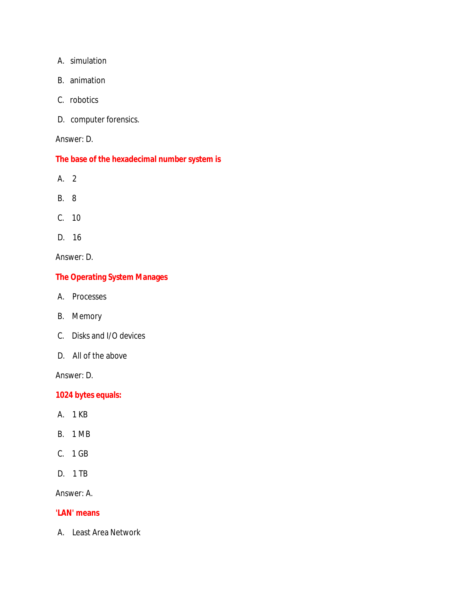- A. simulation
- B. animation
- C. robotics
- D. computer forensics.

## Answer: D.

# **The base of the hexadecimal number system is**

- A. 2
- B. 8
- C. 10
- D. 16

Answer: D.

# **The Operating System Manages**

- A. Processes
- B. Memory
- C. Disks and I/O devices
- D. All of the above

Answer: D.

**1024 bytes equals:** 

- A. 1 KB
- B. 1 MB
- C. 1 GB
- D. 1 TB

Answer: A.

## **'LAN' means**

A. Least Area Network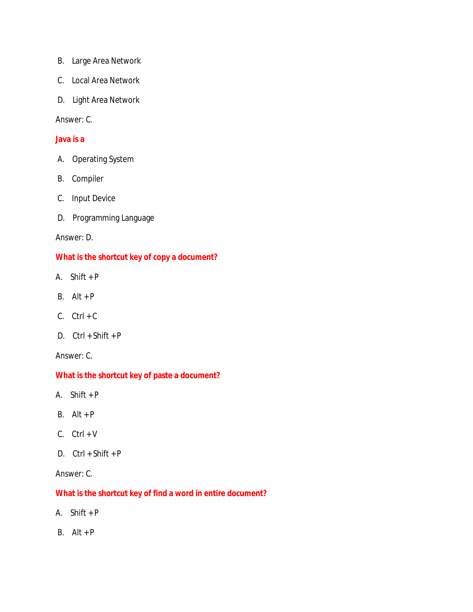- B. Large Area Network
- C. Local Area Network
- D. Light Area Network

# Answer: C.

#### **Java is a**

- A. Operating System
- B. Compiler
- C. Input Device
- D. Programming Language

#### Answer: D.

# **What is the shortcut key of copy a document?**

- A. Shift + P
- B.  $Alt + P$
- $C.$  Ctrl + C
- D. Ctrl + Shift + P

Answer: C.

# **What is the shortcut key of paste a document?**

- A. Shift + P
- B.  $Alt + P$
- $C.$   $Ctrl + V$
- D.  $Ctrl + Shift + P$

# Answer: C.

**What is the shortcut key of find a word in entire document?**

- A. Shift + P
- $B.$  Alt + P